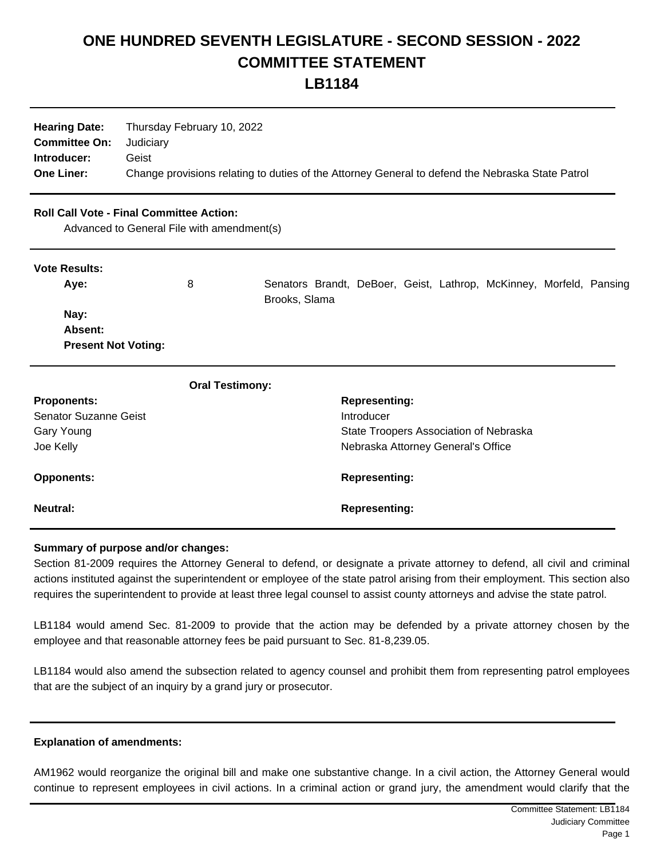## **ONE HUNDRED SEVENTH LEGISLATURE - SECOND SESSION - 2022 COMMITTEE STATEMENT**

**LB1184**

| <b>Hearing Date:</b><br><b>Committee On:</b> Judiciary | Thursday February 10, 2022                                                                       |
|--------------------------------------------------------|--------------------------------------------------------------------------------------------------|
| Introducer:                                            | Geist                                                                                            |
| <b>One Liner:</b>                                      | Change provisions relating to duties of the Attorney General to defend the Nebraska State Patrol |

| <b>Roll Call Vote - Final Committee Action:</b><br>Advanced to General File with amendment(s) |                        |                                                                                      |  |  |
|-----------------------------------------------------------------------------------------------|------------------------|--------------------------------------------------------------------------------------|--|--|
| <b>Vote Results:</b>                                                                          |                        |                                                                                      |  |  |
| Aye:                                                                                          | 8                      | Senators Brandt, DeBoer, Geist, Lathrop, McKinney, Morfeld, Pansing<br>Brooks, Slama |  |  |
| Nay:                                                                                          |                        |                                                                                      |  |  |
| Absent:                                                                                       |                        |                                                                                      |  |  |
| <b>Present Not Voting:</b>                                                                    |                        |                                                                                      |  |  |
|                                                                                               | <b>Oral Testimony:</b> |                                                                                      |  |  |
| <b>Proponents:</b>                                                                            |                        | <b>Representing:</b>                                                                 |  |  |
| Senator Suzanne Geist                                                                         |                        | Introducer                                                                           |  |  |
| Gary Young                                                                                    |                        | State Troopers Association of Nebraska                                               |  |  |
| Joe Kelly                                                                                     |                        | Nebraska Attorney General's Office                                                   |  |  |
| <b>Opponents:</b>                                                                             |                        | <b>Representing:</b>                                                                 |  |  |
| <b>Neutral:</b>                                                                               |                        | <b>Representing:</b>                                                                 |  |  |

## **Summary of purpose and/or changes:**

Section 81-2009 requires the Attorney General to defend, or designate a private attorney to defend, all civil and criminal actions instituted against the superintendent or employee of the state patrol arising from their employment. This section also requires the superintendent to provide at least three legal counsel to assist county attorneys and advise the state patrol.

LB1184 would amend Sec. 81-2009 to provide that the action may be defended by a private attorney chosen by the employee and that reasonable attorney fees be paid pursuant to Sec. 81-8,239.05.

LB1184 would also amend the subsection related to agency counsel and prohibit them from representing patrol employees that are the subject of an inquiry by a grand jury or prosecutor.

## **Explanation of amendments:**

AM1962 would reorganize the original bill and make one substantive change. In a civil action, the Attorney General would continue to represent employees in civil actions. In a criminal action or grand jury, the amendment would clarify that the